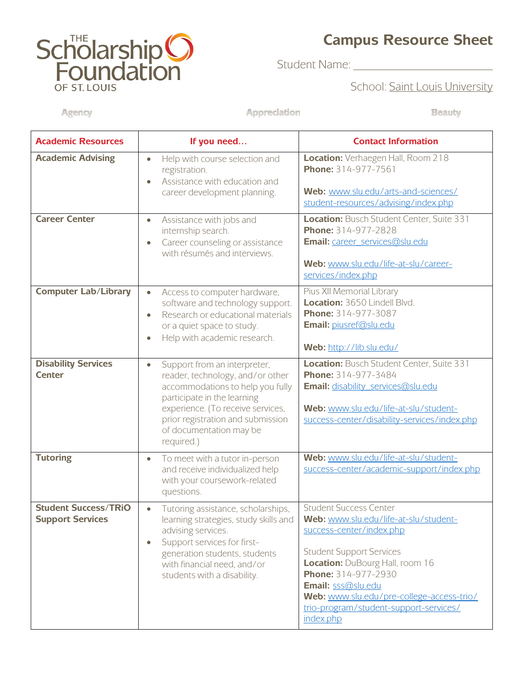## **ScholarshipO**<br>Foundation OF ST. LOUIS

## **Campus Resource Sheet**

Student Name: \_\_\_\_\_\_\_\_\_\_\_

School: Saint Louis University

**Beauty** 

Agency

Appreciation

| <b>Academic Resources</b>                              | If you need                                                                                                                                                                                                                                                         | <b>Contact Information</b>                                                                                                                                                                                                                                                                                                |
|--------------------------------------------------------|---------------------------------------------------------------------------------------------------------------------------------------------------------------------------------------------------------------------------------------------------------------------|---------------------------------------------------------------------------------------------------------------------------------------------------------------------------------------------------------------------------------------------------------------------------------------------------------------------------|
| <b>Academic Advising</b>                               | Help with course selection and<br>$\bullet$<br>registration.<br>Assistance with education and<br>career development planning.                                                                                                                                       | Location: Verhaegen Hall, Room 218<br>Phone: 314-977-7561<br>Web: www.slu.edu/arts-and-sciences/<br>student-resources/advising/index.php                                                                                                                                                                                  |
| <b>Career Center</b>                                   | Assistance with jobs and<br>$\bullet$<br>internship search.<br>Career counseling or assistance<br>with résumés and interviews.                                                                                                                                      | Location: Busch Student Center, Suite 331<br>Phone: 314-977-2828<br>Email: career_services@slu.edu<br>Web: www.slu.edu/life-at-slu/career-<br>services/index.php                                                                                                                                                          |
| <b>Computer Lab/Library</b>                            | Access to computer hardware,<br>$\bullet$<br>software and technology support.<br>Research or educational materials<br>$\bullet$<br>or a quiet space to study.<br>Help with academic research.                                                                       | Pius XII Memorial Library<br>Location: 3650 Lindell Blvd.<br>Phone: 314-977-3087<br>Email: piusref@slu.edu<br>Web: http://lib.slu.edu/                                                                                                                                                                                    |
| <b>Disability Services</b><br><b>Center</b>            | Support from an interpreter,<br>$\bullet$<br>reader, technology, and/or other<br>accommodations to help you fully<br>participate in the learning<br>experience. (To receive services,<br>prior registration and submission<br>of documentation may be<br>required.) | Location: Busch Student Center, Suite 331<br>Phone: 314-977-3484<br><b>Email: disability services@slu.edu</b><br>Web: www.slu.edu/life-at-slu/student-<br>success-center/disability-services/index.php                                                                                                                    |
| <b>Tutoring</b>                                        | To meet with a tutor in-person<br>$\bullet$<br>and receive individualized help<br>with your coursework-related<br>questions.                                                                                                                                        | Web: www.slu.edu/life-at-slu/student-<br>success-center/academic-support/index.php                                                                                                                                                                                                                                        |
| <b>Student Success/TRiO</b><br><b>Support Services</b> | Tutoring assistance, scholarships<br>learning strategies, study skills and<br>advising services.<br>Support services for first-<br>$\bullet$<br>generation students, students<br>with financial need, and/or<br>students with a disability.                         | <b>Student Success Center</b><br>Web: www.slu.edu/life-at-slu/student-<br>success-center/index.php<br><b>Student Support Services</b><br>Location: DuBourg Hall, room 16<br>Phone: 314-977-2930<br>Email: sss@slu.edu<br>Web: www.slu.edu/pre-college-access-trio/<br>trio-program/student-support-services/<br>index.php |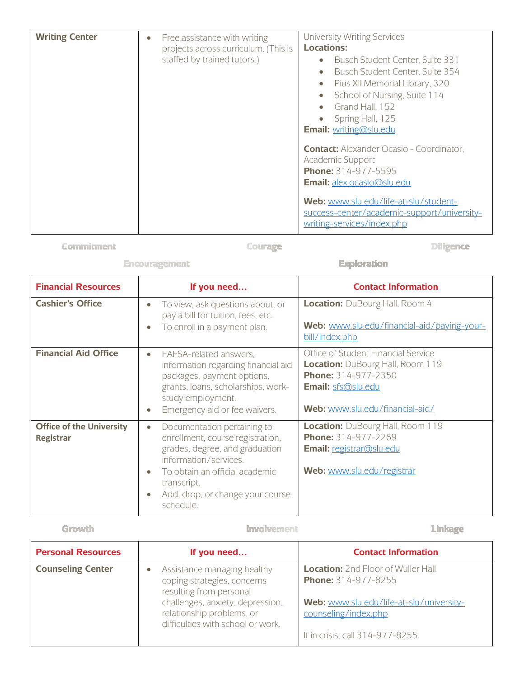| <b>Writing Center</b> | Free assistance with writing<br>۰<br>projects across curriculum. (This is<br>staffed by trained tutors.) | <b>University Writing Services</b><br><b>Locations:</b><br>Busch Student Center, Suite 331<br>Busch Student Center, Suite 354<br>Pius XII Memorial Library, 320<br>School of Nursing, Suite 114<br>Grand Hall, 152<br>Spring Hall, 125<br><b>Email:</b> writing@slu.edu |
|-----------------------|----------------------------------------------------------------------------------------------------------|-------------------------------------------------------------------------------------------------------------------------------------------------------------------------------------------------------------------------------------------------------------------------|
|                       |                                                                                                          | <b>Contact:</b> Alexander Ocasio - Coordinator,<br><b>Academic Support</b><br>Phone: 314-977-5595<br><b>Email:</b> alex.ocasio@slu.edu<br>Web: www.slu.edu/life-at-slu/student-<br>success-center/academic-support/university-<br>writing-services/index.php            |

Commitment

Courage

Diligence

## Encouragement

Exploration

| <b>Financial Resources</b>                          | If you need                                                                                                                                                                                                                               | <b>Contact Information</b>                                                                                                                                            |
|-----------------------------------------------------|-------------------------------------------------------------------------------------------------------------------------------------------------------------------------------------------------------------------------------------------|-----------------------------------------------------------------------------------------------------------------------------------------------------------------------|
| <b>Cashier's Office</b>                             | To view, ask questions about, or<br>٠<br>pay a bill for tuition, fees, etc.<br>To enroll in a payment plan.<br>$\bullet$                                                                                                                  | Location: DuBourg Hall, Room 4<br>Web: www.slu.edu/financial-aid/paying-your-<br>bill/index.php                                                                       |
| <b>Financial Aid Office</b>                         | FAFSA-related answers,<br>$\bullet$<br>information regarding financial aid<br>packages, payment options,<br>grants, Ioans, scholarships, work-<br>study employment.<br>Emergency aid or fee waivers.<br>$\bullet$                         | Office of Student Financial Service<br><b>Location:</b> DuBourg Hall, Room 119<br><b>Phone: 314-977-2350</b><br>Email: sfs@slu.edu<br>Web: www.slu.edu/financial-aid/ |
| <b>Office of the University</b><br><b>Registrar</b> | Documentation pertaining to<br>$\bullet$<br>enrollment, course registration,<br>grades, degree, and graduation<br>information/services.<br>To obtain an official academic<br>transcript.<br>Add, drop, or change your course<br>schedule. | Location: DuBourg Hall, Room 119<br>Phone: 314-977-2269<br>Email: registrar@slu.edu<br>Web: www.slu.edu/registrar                                                     |

## Growth

Involvement

Linkage

| <b>Personal Resources</b> | If you need                                                                                                                                                                                 | <b>Contact Information</b>                                                                                                                                               |
|---------------------------|---------------------------------------------------------------------------------------------------------------------------------------------------------------------------------------------|--------------------------------------------------------------------------------------------------------------------------------------------------------------------------|
| <b>Counseling Center</b>  | Assistance managing healthy<br>coping strategies, concerns<br>resulting from personal<br>challenges, anxiety, depression,<br>relationship problems, or<br>difficulties with school or work. | <b>Location:</b> 2nd Floor of Wuller Hall<br>Phone: 314-977-8255<br>Web: www.slu.edu/life-at-slu/university-<br>counseling/index.php<br>If in crisis, call 314-977-8255. |